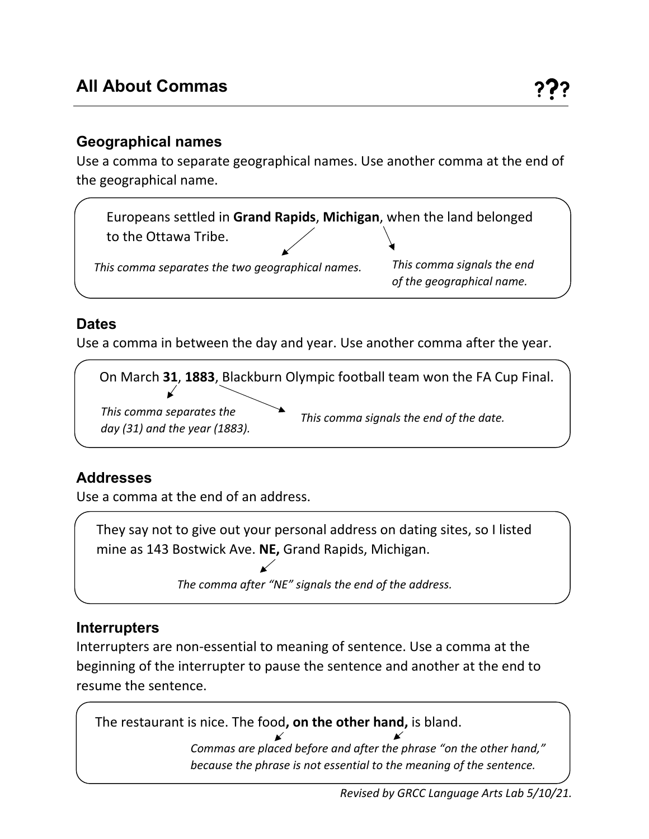### **Geographical names**

Use a comma to separate geographical names. Use another comma at the end of the geographical name.



## **Dates**

Use a comma in between the day and year. Use another comma after the year.

On March **31**, **1883**, Blackburn Olympic football team won the FA Cup Final. *This comma separates the day (31) and the year (1883). This comma signals the end of the date.*

# **Addresses**

Use a comma at the end of an address.

They say not to give out your personal address on dating sites, so I listed mine as 143 Bostwick Ave. **NE,** Grand Rapids, Michigan.

*The comma after "NE" signals the end of the address.*

### **Interrupters**

Interrupters are non-essential to meaning of sentence. Use a comma at the beginning of the interrupter to pause the sentence and another at the end to resume the sentence.



*Commas are placed before and after the phrase "on the other hand," because the phrase is not essential to the meaning of the sentence.*